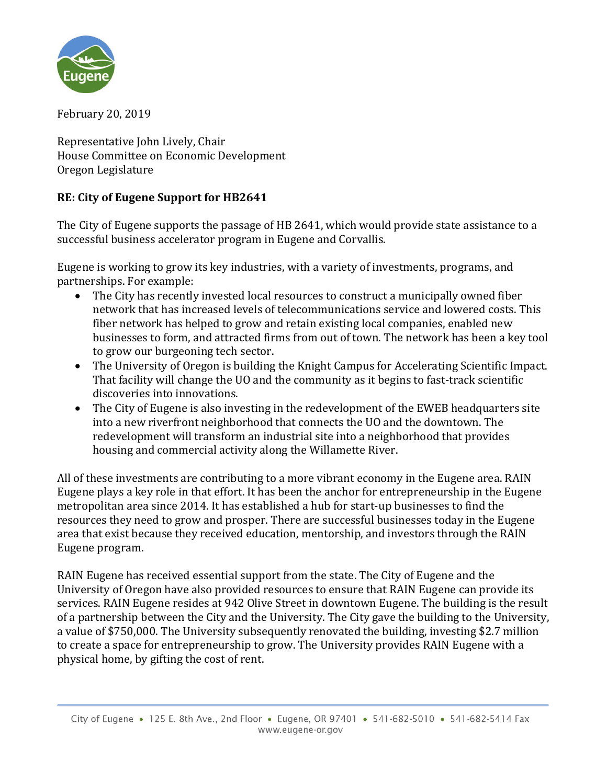

February 20, 2019

Representative John Lively, Chair House Committee on Economic Development Oregon Legislature

## **RE: City of Eugene Support for HB2641**

The City of Eugene supports the passage of HB 2641, which would provide state assistance to a successful business accelerator program in Eugene and Corvallis.

Eugene is working to grow its key industries, with a variety of investments, programs, and partnerships. For example:

- The City has recently invested local resources to construct a municipally owned fiber network that has increased levels of telecommunications service and lowered costs. This fiber network has helped to grow and retain existing local companies, enabled new businesses to form, and attracted firms from out of town. The network has been a key tool to grow our burgeoning tech sector.
- The University of Oregon is building the Knight Campus for Accelerating Scientific Impact. That facility will change the UO and the community as it begins to fast-track scientific discoveries into innovations.
- The City of Eugene is also investing in the redevelopment of the EWEB headquarters site into a new riverfront neighborhood that connects the UO and the downtown. The redevelopment will transform an industrial site into a neighborhood that provides housing and commercial activity along the Willamette River.

All of these investments are contributing to a more vibrant economy in the Eugene area. RAIN Eugene plays a key role in that effort. It has been the anchor for entrepreneurship in the Eugene metropolitan area since 2014. It has established a hub for start-up businesses to find the resources they need to grow and prosper. There are successful businesses today in the Eugene area that exist because they received education, mentorship, and investors through the RAIN Eugene program.

RAIN Eugene has received essential support from the state. The City of Eugene and the University of Oregon have also provided resources to ensure that RAIN Eugene can provide its services. RAIN Eugene resides at 942 Olive Street in downtown Eugene. The building is the result of a partnership between the City and the University. The City gave the building to the University, a value of \$750,000. The University subsequently renovated the building, investing \$2.7 million to create a space for entrepreneurship to grow. The University provides RAIN Eugene with a physical home, by gifting the cost of rent.